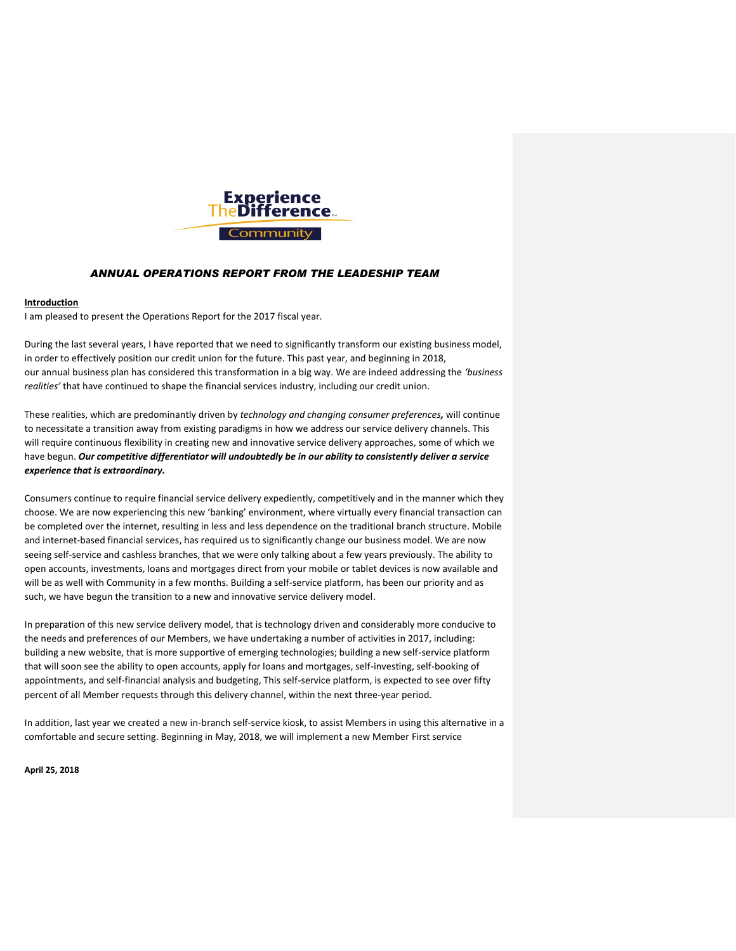

## *ANNUAL OPERATIONS REPORT FROM THE LEADESHIP TEAM*

## **Introduction**

I am pleased to present the Operations Report for the 2017 fiscal year.

During the last several years, I have reported that we need to significantly transform our existing business model, in order to effectively position our credit union for the future. This past year, and beginning in 2018, our annual business plan has considered this transformation in a big way. We are indeed addressing the *'business realities'* that have continued to shape the financial services industry, including our credit union.

These realities, which are predominantly driven by *technology and changing consumer preferences,* will continue to necessitate a transition away from existing paradigms in how we address our service delivery channels. This will require continuous flexibility in creating new and innovative service delivery approaches, some of which we have begun. *Our competitive differentiator will undoubtedly be in our ability to consistently deliver a service experience that is extraordinary.* 

Consumers continue to require financial service delivery expediently, competitively and in the manner which they choose. We are now experiencing this new 'banking' environment, where virtually every financial transaction can be completed over the internet, resulting in less and less dependence on the traditional branch structure. Mobile and internet-based financial services, has required us to significantly change our business model. We are now seeing self-service and cashless branches, that we were only talking about a few years previously. The ability to open accounts, investments, loans and mortgages direct from your mobile or tablet devices is now available and will be as well with Community in a few months. Building a self-service platform, has been our priority and as such, we have begun the transition to a new and innovative service delivery model.

In preparation of this new service delivery model, that is technology driven and considerably more conducive to the needs and preferences of our Members, we have undertaking a number of activities in 2017, including: building a new website, that is more supportive of emerging technologies; building a new self-service platform that will soon see the ability to open accounts, apply for loans and mortgages, self-investing, self-booking of appointments, and self-financial analysis and budgeting, This self-service platform, is expected to see over fifty percent of all Member requests through this delivery channel, within the next three-year period.

In addition, last year we created a new in-branch self-service kiosk, to assist Members in using this alternative in a comfortable and secure setting. Beginning in May, 2018, we will implement a new Member First service

**April 25, 2018**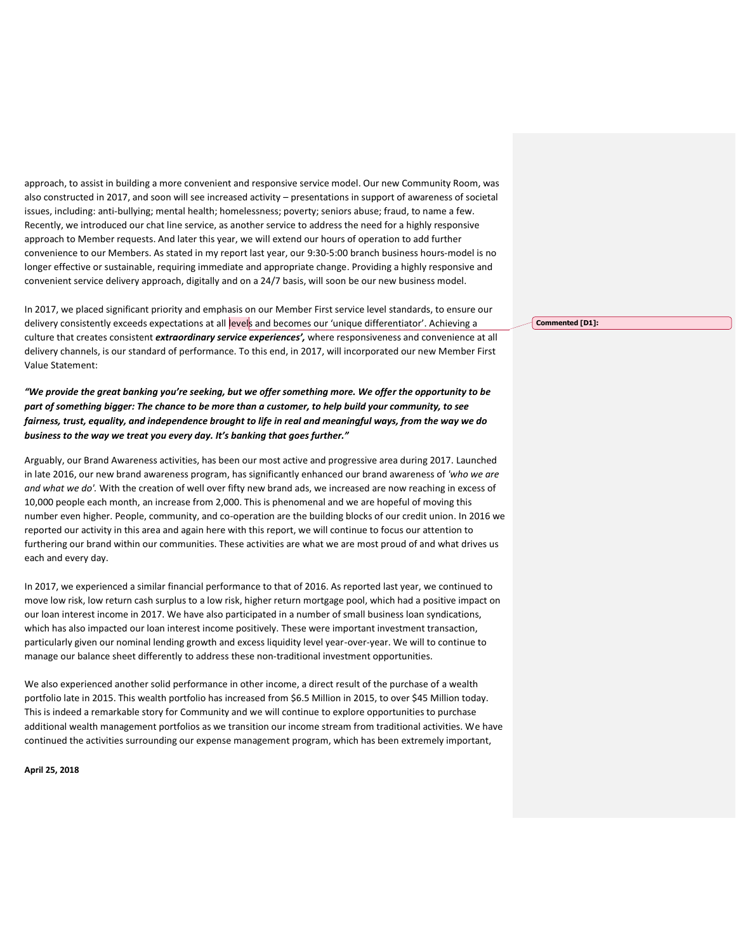approach, to assist in building a more convenient and responsive service model. Our new Community Room, was also constructed in 2017, and soon will see increased activity – presentations in support of awareness of societal issues, including: anti-bullying; mental health; homelessness; poverty; seniors abuse; fraud, to name a few. Recently, we introduced our chat line service, as another service to address the need for a highly responsive approach to Member requests. And later this year, we will extend our hours of operation to add further convenience to our Members. As stated in my report last year, our 9:30-5:00 branch business hours-model is no longer effective or sustainable, requiring immediate and appropriate change. Providing a highly responsive and convenient service delivery approach, digitally and on a 24/7 basis, will soon be our new business model.

In 2017, we placed significant priority and emphasis on our Member First service level standards, to ensure our delivery consistently exceeds expectations at all levels and becomes our 'unique differentiator'. Achieving a culture that creates consistent *extraordinary service experiences',* where responsiveness and convenience at all delivery channels, is our standard of performance. To this end, in 2017, will incorporated our new Member First Value Statement:

*"We provide the great banking you're seeking, but we offer something more. We offer the opportunity to be part of something bigger: The chance to be more than a customer, to help build your community, to see fairness, trust, equality, and independence brought to life in real and meaningful ways, from the way we do business to the way we treat you every day. It's banking that goes further."* 

Arguably, our Brand Awareness activities, has been our most active and progressive area during 2017. Launched in late 2016, our new brand awareness program, has significantly enhanced our brand awareness of *'who we are and what we do'.* With the creation of well over fifty new brand ads, we increased are now reaching in excess of 10,000 people each month, an increase from 2,000. This is phenomenal and we are hopeful of moving this number even higher. People, community, and co-operation are the building blocks of our credit union. In 2016 we reported our activity in this area and again here with this report, we will continue to focus our attention to furthering our brand within our communities. These activities are what we are most proud of and what drives us each and every day.

In 2017, we experienced a similar financial performance to that of 2016. As reported last year, we continued to move low risk, low return cash surplus to a low risk, higher return mortgage pool, which had a positive impact on our loan interest income in 2017. We have also participated in a number of small business loan syndications, which has also impacted our loan interest income positively. These were important investment transaction, particularly given our nominal lending growth and excess liquidity level year-over-year. We will to continue to manage our balance sheet differently to address these non-traditional investment opportunities.

We also experienced another solid performance in other income, a direct result of the purchase of a wealth portfolio late in 2015. This wealth portfolio has increased from \$6.5 Million in 2015, to over \$45 Million today. This is indeed a remarkable story for Community and we will continue to explore opportunities to purchase additional wealth management portfolios as we transition our income stream from traditional activities. We have continued the activities surrounding our expense management program, which has been extremely important,

**April 25, 2018**

**Commented [D1]:**